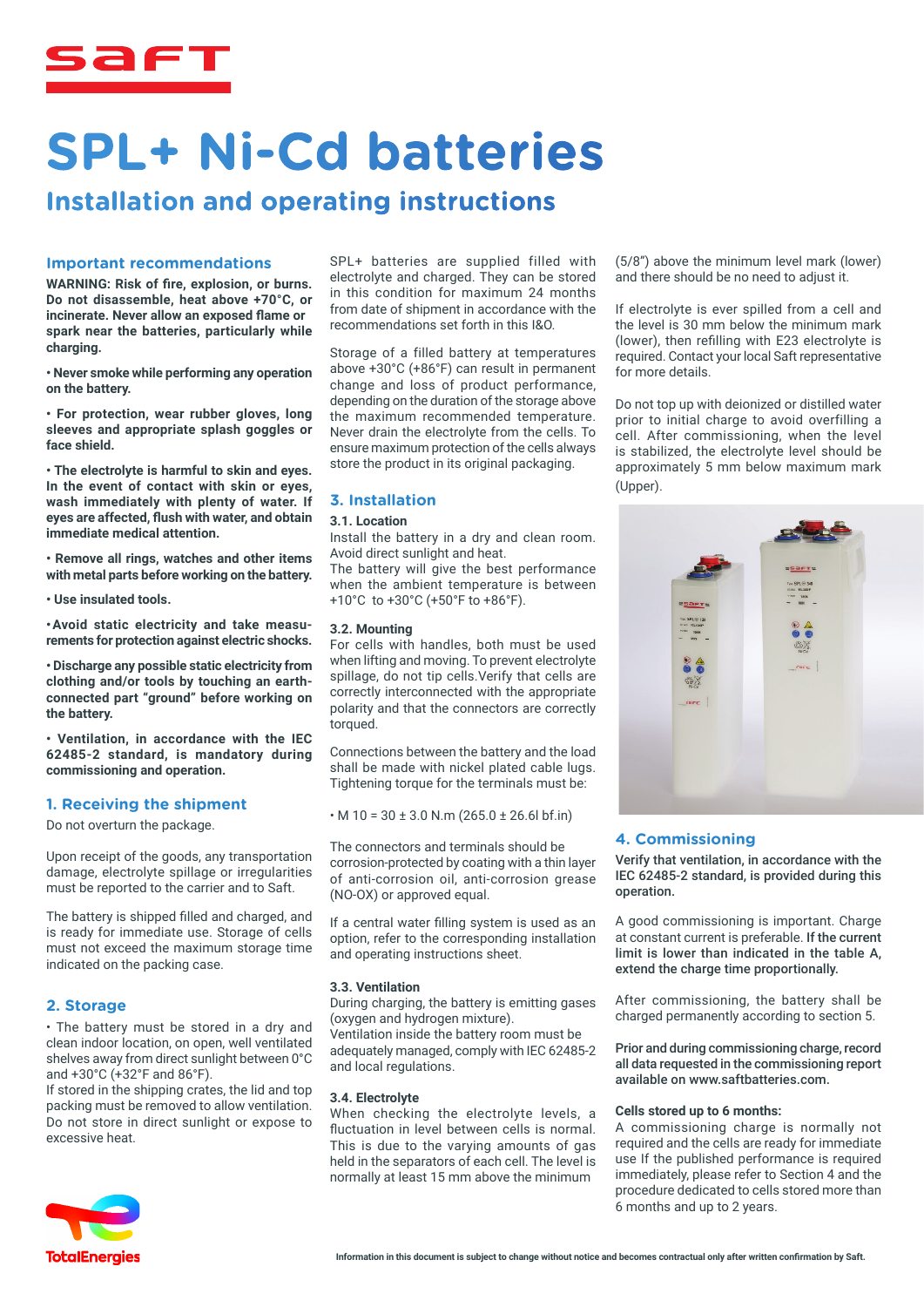

## **SPL+ Ni-Cd batteries**

### **Installation and operating instructions**

#### **Important recommendations**

**WARNING: Risk of fire, explosion, or burns. Do not disassemble, heat above +70°C, or incinerate. Never allow an exposed flame or spark near the batteries, particularly while charging.**

**• Never smoke while performing any operation on the battery.**

**• For protection, wear rubber gloves, long sleeves and appropriate splash goggles or face shield.**

**• The electrolyte is harmful to skin and eyes. In the event of contact with skin or eyes, wash immediately with plenty of water. If eyes are affected, flush with water, and obtain immediate medical attention.**

**• Remove all rings, watches and other items with metal parts before working on the battery.**

**• Use insulated tools.**

**• Avoid static electricity and take measurements for protection against electric shocks.**

**• Discharge any possible static electricity from clothing and/or tools by touching an earthconnected part "ground" before working on the battery.**

**• Ventilation, in accordance with the IEC 62485-2 standard, is mandatory during commissioning and operation.**

#### **1. Receiving the shipment**

Do not overturn the package.

Upon receipt of the goods, any transportation damage, electrolyte spillage or irregularities must be reported to the carrier and to Saft.

The battery is shipped filled and charged, and is ready for immediate use. Storage of cells must not exceed the maximum storage time indicated on the packing case.

#### **2. Storage**

• The battery must be stored in a dry and clean indoor location, on open, well ventilated shelves away from direct sunlight between 0°C and +30°C (+32°F and 86°F).

If stored in the shipping crates, the lid and top packing must be removed to allow ventilation. Do not store in direct sunlight or expose to excessive heat.



Storage of a filled battery at temperatures above +30°C (+86°F) can result in permanent change and loss of product performance, depending on the duration of the storage above the maximum recommended temperature. Never drain the electrolyte from the cells. To ensure maximum protection of the cells always store the product in its original packaging.

#### **3. Installation**

#### **3.1. Location**

Install the battery in a dry and clean room. Avoid direct sunlight and heat.

The battery will give the best performance when the ambient temperature is between +10°C to +30°C (+50°F to +86°F).

#### **3.2. Mounting**

For cells with handles, both must be used when lifting and moving. To prevent electrolyte spillage, do not tip cells.Verify that cells are correctly interconnected with the appropriate polarity and that the connectors are correctly torqued.

Connections between the battery and the load shall be made with nickel plated cable lugs. Tightening torque for the terminals must be:

 $\cdot$  M 10 = 30 ± 3.0 N.m (265.0 ± 26.6l bf.in)

The connectors and terminals should be corrosion-protected by coating with a thin layer of anti-corrosion oil, anti-corrosion grease (NO-OX) or approved equal.

If a central water filling system is used as an option, refer to the corresponding installation and operating instructions sheet.

#### **3.3. Ventilation**

During charging, the battery is emitting gases (oxygen and hydrogen mixture).

Ventilation inside the battery room must be adequately managed, comply with IEC 62485-2 and local regulations.

#### **3.4. Electrolyte**

When checking the electrolyte levels, a fluctuation in level between cells is normal. This is due to the varying amounts of gas held in the separators of each cell. The level is normally at least 15 mm above the minimum

(5/8") above the minimum level mark (lower) and there should be no need to adjust it.

If electrolyte is ever spilled from a cell and the level is 30 mm below the minimum mark (lower), then refilling with E23 electrolyte is required. Contact your local Saft representative for more details.

Do not top up with deionized or distilled water prior to initial charge to avoid overfilling a cell. After commissioning, when the level is stabilized, the electrolyte level should be approximately 5 mm below maximum mark (Upper).



#### **4. Commissioning**

Verify that ventilation, in accordance with the IEC 62485-2 standard, is provided during this operation.

A good commissioning is important. Charge at constant current is preferable. If the current limit is lower than indicated in the table A, extend the charge time proportionally.

After commissioning, the battery shall be charged permanently according to section 5.

Prior and during commissioning charge, record all data requested in the commissioning report available on www.saftbatteries.com.

#### **Cells stored up to 6 months:**

A commissioning charge is normally not required and the cells are ready for immediate use If the published performance is required immediately, please refer to Section 4 and the procedure dedicated to cells stored more than 6 months and up to 2 years.